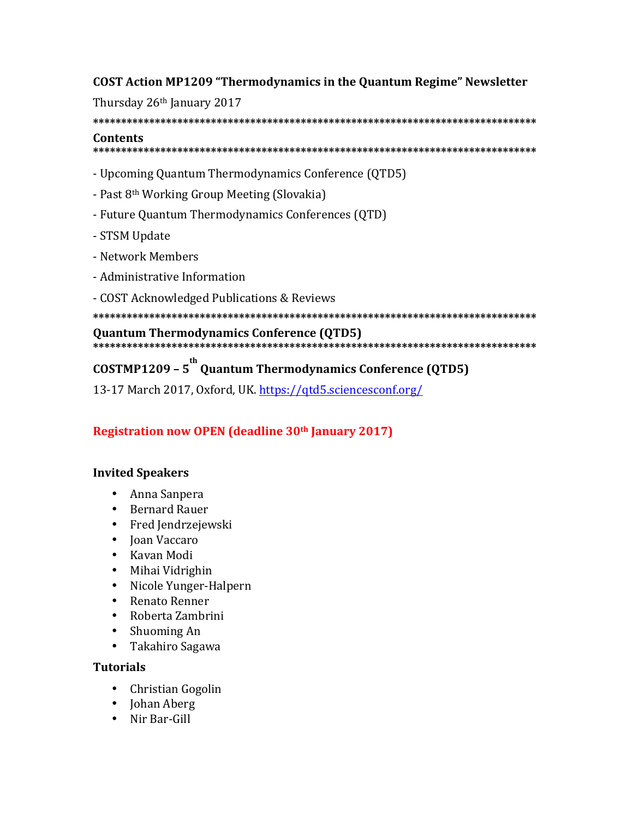## **COST Action MP1209 "Thermodynamics in the Quantum Regime" Newsletter**

Thursday 26<sup>th</sup> January 2017

**\*\*\*\*\*\*\*\*\*\*\*\*\*\*\*\*\*\*\*\*\*\*\*\*\*\*\*\*\*\*\*\*\*\*\*\*\*\*\*\*\*\*\*\*\*\*\*\*\*\*\*\*\*\*\*\*\*\*\*\*\*\*\*\*\*\*\*\*\*\*\*\*\*\*\*\*\*\*\* Contents** 

#### **\*\*\*\*\*\*\*\*\*\*\*\*\*\*\*\*\*\*\*\*\*\*\*\*\*\*\*\*\*\*\*\*\*\*\*\*\*\*\*\*\*\*\*\*\*\*\*\*\*\*\*\*\*\*\*\*\*\*\*\*\*\*\*\*\*\*\*\*\*\*\*\*\*\*\*\*\*\*\***

- Upcoming Quantum Thermodynamics Conference (QTD5)
- Past  $8<sup>th</sup>$  Working Group Meeting (Slovakia)
- Future Quantum Thermodynamics Conferences (QTD)
- STSM Update
- Network Members
- Administrative Information
- COST Acknowledged Publications & Reviews

**\*\*\*\*\*\*\*\*\*\*\*\*\*\*\*\*\*\*\*\*\*\*\*\*\*\*\*\*\*\*\*\*\*\*\*\*\*\*\*\*\*\*\*\*\*\*\*\*\*\*\*\*\*\*\*\*\*\*\*\*\*\*\*\*\*\*\*\*\*\*\*\*\*\*\*\*\*\*\***

### **Quantum Thermodynamics Conference (QTD5)**

# **\*\*\*\*\*\*\*\*\*\*\*\*\*\*\*\*\*\*\*\*\*\*\*\*\*\*\*\*\*\*\*\*\*\*\*\*\*\*\*\*\*\*\*\*\*\*\*\*\*\*\*\*\*\*\*\*\*\*\*\*\*\*\*\*\*\*\*\*\*\*\*\*\*\*\*\*\*\*\***

# **COSTMP1209 – 5 th Quantum Thermodynamics Conference (QTD5)**

13-17 March 2017, Oxford, UK. https://qtd5.sciencesconf.org/

# **Registration now OPEN (deadline 30<sup>th</sup> January 2017)**

### **Invited Speakers**

- Anna Sanpera
- Bernard Rauer
- Fred Jendrzejewski
- Joan Vaccaro
- Kavan Modi
- Mihai Vidrighin
- Nicole Yunger-Halpern
- Renato Renner
- Roberta Zambrini
- Shuoming An
- Takahiro Sagawa

### **Tutorials**

- Christian Gogolin
- Johan Aberg
- Nir Bar-Gill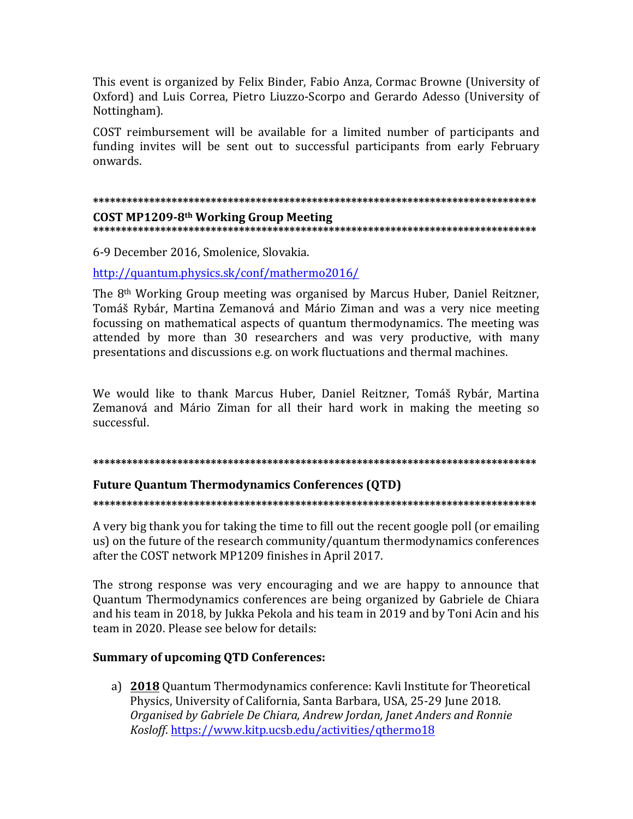This event is organized by Felix Binder, Fabio Anza, Cormac Browne (University of Oxford) and Luis Correa, Pietro Liuzzo-Scorpo and Gerardo Adesso (University of Nottingham).

COST reimbursement will be available for a limited number of participants and funding invites will be sent out to successful participants from early February onwards.

#### COST MP1209-8th Working Group Meeting

6-9 December 2016, Smolenice, Slovakia.

http://quantum.physics.sk/conf/mathermo2016/

The 8<sup>th</sup> Working Group meeting was organised by Marcus Huber, Daniel Reitzner, Tomáš Rybár, Martina Zemanová and Mário Ziman and was a very nice meeting focussing on mathematical aspects of quantum thermodynamics. The meeting was attended by more than 30 researchers and was very productive, with many presentations and discussions e.g. on work fluctuations and thermal machines.

We would like to thank Marcus Huber, Daniel Reitzner, Tomáš Rybár, Martina Zemanová and Mário Ziman for all their hard work in making the meeting so successful.

# **Future Ouantum Thermodynamics Conferences (OTD)**

A very big thank you for taking the time to fill out the recent google poll (or emailing us) on the future of the research community/quantum thermodynamics conferences after the COST network MP1209 finishes in April 2017.

The strong response was very encouraging and we are happy to announce that Quantum Thermodynamics conferences are being organized by Gabriele de Chiara and his team in 2018, by Jukka Pekola and his team in 2019 and by Toni Acin and his team in 2020. Please see below for details:

### **Summary of upcoming QTD Conferences:**

a) 2018 Quantum Thermodynamics conference: Kavli Institute for Theoretical Physics, University of California, Santa Barbara, USA, 25-29 June 2018. Organised by Gabriele De Chiara, Andrew Jordan, Janet Anders and Ronnie Kosloff. https://www.kitp.ucsb.edu/activities/qthermo18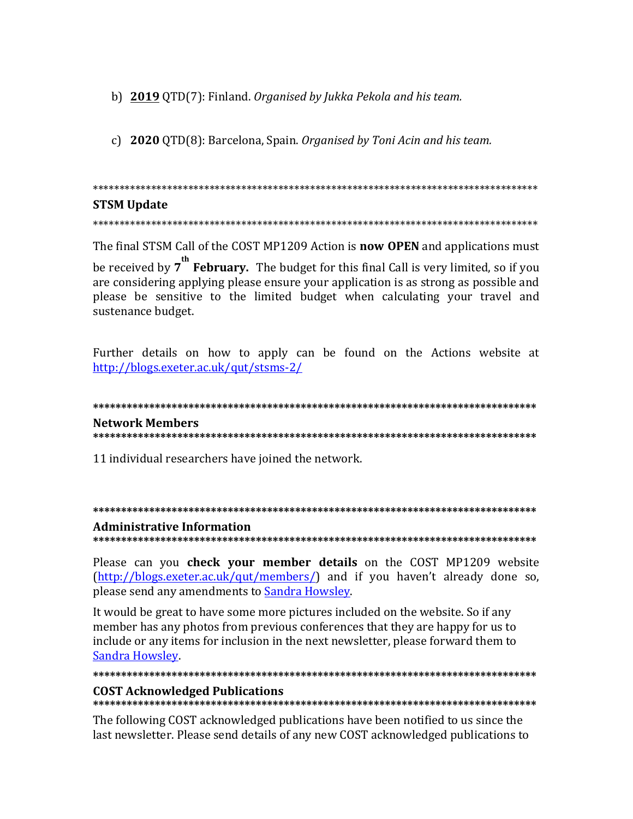- b) 2019 QTD(7): Finland. Organised by Jukka Pekola and his team.
- c) 2020 QTD(8): Barcelona, Spain. Organised by Toni Acin and his team.

# **STSM Update**

#### 

The final STSM Call of the COST MP1209 Action is **now OPEN** and applications must be received by 7<sup>th</sup> February. The budget for this final Call is very limited, so if you are considering applying please ensure your application is as strong as possible and please be sensitive to the limited budget when calculating your travel and sustenance budget.

Further details on how to apply can be found on the Actions website at http://blogs.exeter.ac.uk/qut/stsms-2/

#### 

#### **Network Members**

11 individual researchers have joined the network.

# 

#### **Administrative Information**

Please can you check your member details on the COST MP1209 website (http://blogs.exeter.ac.uk/qut/members/) and if you haven't already done so, please send any amendments to Sandra Howsley.

It would be great to have some more pictures included on the website. So if any member has any photos from previous conferences that they are happy for us to include or any items for inclusion in the next newsletter, please forward them to Sandra Howsley.

#### 

### **COST Acknowledged Publications**

#### 

The following COST acknowledged publications have been notified to us since the last newsletter. Please send details of any new COST acknowledged publications to